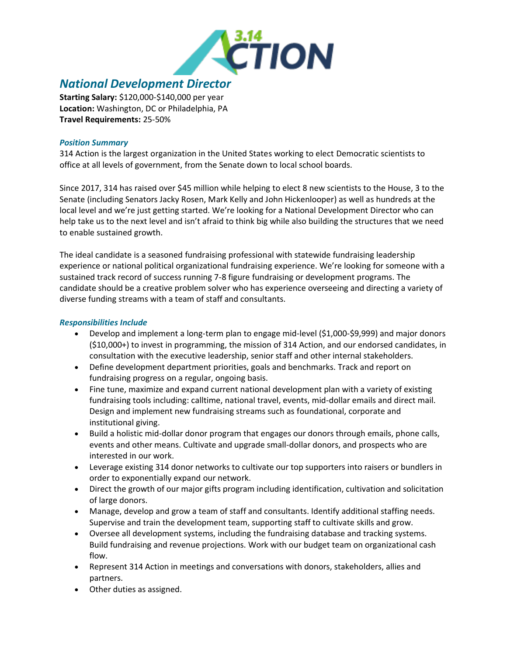

# *National Development Director*

**Starting Salary:** \$120,000-\$140,000 per year **Location:** Washington, DC or Philadelphia, PA **Travel Requirements:** 25-50%

### *Position Summary*

314 Action is the largest organization in the United States working to elect Democratic scientists to office at all levels of government, from the Senate down to local school boards.

Since 2017, 314 has raised over \$45 million while helping to elect 8 new scientists to the House, 3 to the Senate (including Senators Jacky Rosen, Mark Kelly and John Hickenlooper) as well as hundreds at the local level and we're just getting started. We're looking for a National Development Director who can help take us to the next level and isn't afraid to think big while also building the structures that we need to enable sustained growth.

The ideal candidate is a seasoned fundraising professional with statewide fundraising leadership experience or national political organizational fundraising experience. We're looking for someone with a sustained track record of success running 7-8 figure fundraising or development programs. The candidate should be a creative problem solver who has experience overseeing and directing a variety of diverse funding streams with a team of staff and consultants.

# *Responsibilities Include*

- Develop and implement a long-term plan to engage mid-level (\$1,000-\$9,999) and major donors (\$10,000+) to invest in programming, the mission of 314 Action, and our endorsed candidates, in consultation with the executive leadership, senior staff and other internal stakeholders.
- Define development department priorities, goals and benchmarks. Track and report on fundraising progress on a regular, ongoing basis.
- Fine tune, maximize and expand current national development plan with a variety of existing fundraising tools including: calltime, national travel, events, mid-dollar emails and direct mail. Design and implement new fundraising streams such as foundational, corporate and institutional giving.
- Build a holistic mid-dollar donor program that engages our donors through emails, phone calls, events and other means. Cultivate and upgrade small-dollar donors, and prospects who are interested in our work.
- Leverage existing 314 donor networks to cultivate our top supporters into raisers or bundlers in order to exponentially expand our network.
- Direct the growth of our major gifts program including identification, cultivation and solicitation of large donors.
- Manage, develop and grow a team of staff and consultants. Identify additional staffing needs. Supervise and train the development team, supporting staff to cultivate skills and grow.
- Oversee all development systems, including the fundraising database and tracking systems. Build fundraising and revenue projections. Work with our budget team on organizational cash flow.
- Represent 314 Action in meetings and conversations with donors, stakeholders, allies and partners.
- Other duties as assigned.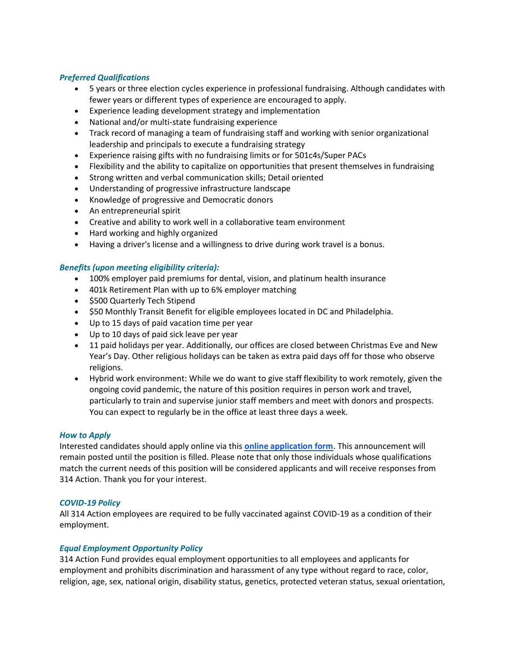### *Preferred Qualifications*

- 5 years or three election cycles experience in professional fundraising. Although candidates with fewer years or different types of experience are encouraged to apply.
- Experience leading development strategy and implementation
- National and/or multi-state fundraising experience
- Track record of managing a team of fundraising staff and working with senior organizational leadership and principals to execute a fundraising strategy
- Experience raising gifts with no fundraising limits or for 501c4s/Super PACs
- Flexibility and the ability to capitalize on opportunities that present themselves in fundraising
- Strong written and verbal communication skills; Detail oriented
- Understanding of progressive infrastructure landscape
- Knowledge of progressive and Democratic donors
- An entrepreneurial spirit
- Creative and ability to work well in a collaborative team environment
- Hard working and highly organized
- Having a driver's license and a willingness to drive during work travel is a bonus.

## *Benefits (upon meeting eligibility criteria):*

- 100% employer paid premiums for dental, vision, and platinum health insurance
- 401k Retirement Plan with up to 6% employer matching
- \$500 Quarterly Tech Stipend
- \$50 Monthly Transit Benefit for eligible employees located in DC and Philadelphia.
- Up to 15 days of paid vacation time per year
- Up to 10 days of paid sick leave per year
- 11 paid holidays per year. Additionally, our offices are closed between Christmas Eve and New Year's Day. Other religious holidays can be taken as extra paid days off for those who observe religions.
- Hybrid work environment: While we do want to give staff flexibility to work remotely, given the ongoing covid pandemic, the nature of this position requires in person work and travel, particularly to train and supervise junior staff members and meet with donors and prospects. You can expect to regularly be in the office at least three days a week.

## *How to Apply*

Interested candidates should apply online via this **[online application form](https://314action.applytojob.com/apply/FhIkRR3NUe/National-Development-Director)**. This announcement will remain posted until the position is filled. Please note that only those individuals whose qualifications match the current needs of this position will be considered applicants and will receive responses from 314 Action. Thank you for your interest.

#### *COVID-19 Policy*

All 314 Action employees are required to be fully vaccinated against COVID-19 as a condition of their employment.

#### *Equal Employment Opportunity Policy*

314 Action Fund provides equal employment opportunities to all employees and applicants for employment and prohibits discrimination and harassment of any type without regard to race, color, religion, age, sex, national origin, disability status, genetics, protected veteran status, sexual orientation,